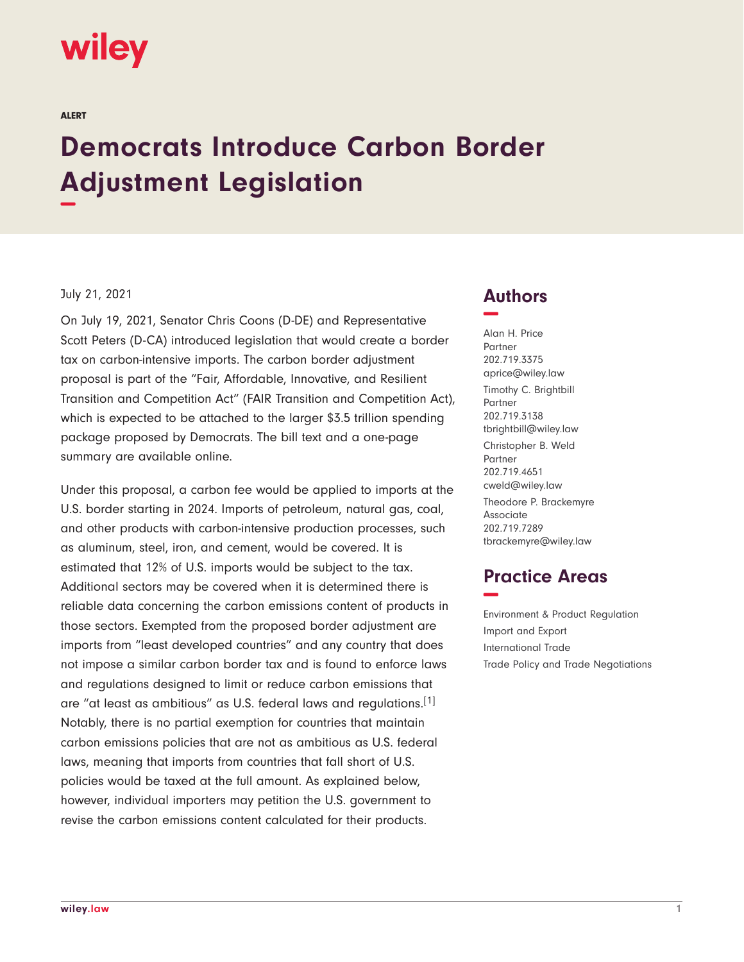# wiley

ALERT

# **Democrats Introduce Carbon Border Adjustment Legislation −**

#### July 21, 2021

On July 19, 2021, Senator Chris Coons (D-DE) and Representative Scott Peters (D-CA) introduced legislation that would create a border tax on carbon-intensive imports. The carbon border adjustment proposal is part of the "Fair, Affordable, Innovative, and Resilient Transition and Competition Act" (FAIR Transition and Competition Act), which is expected to be attached to the larger \$3.5 trillion spending package proposed by Democrats. The bill text and a one-page summary are available online.

Under this proposal, a carbon fee would be applied to imports at the U.S. border starting in 2024. Imports of petroleum, natural gas, coal, and other products with carbon-intensive production processes, such as aluminum, steel, iron, and cement, would be covered. It is estimated that 12% of U.S. imports would be subject to the tax. Additional sectors may be covered when it is determined there is reliable data concerning the carbon emissions content of products in those sectors. Exempted from the proposed border adjustment are imports from "least developed countries" and any country that does not impose a similar carbon border tax and is found to enforce laws and regulations designed to limit or reduce carbon emissions that are "at least as ambitious" as U.S. federal laws and regulations.[1] Notably, there is no partial exemption for countries that maintain carbon emissions policies that are not as ambitious as U.S. federal laws, meaning that imports from countries that fall short of U.S. policies would be taxed at the full amount. As explained below, however, individual importers may petition the U.S. government to revise the carbon emissions content calculated for their products.

### **Authors −**

Alan H. Price Partner 202.719.3375 aprice@wiley.law Timothy C. Brightbill Partner 202.719.3138 tbrightbill@wiley.law Christopher B. Weld Partner 202.719.4651 cweld@wiley.law Theodore P. Brackemyre Associate 202.719.7289 tbrackemyre@wiley.law

## **Practice Areas −**

Environment & Product Regulation Import and Export International Trade Trade Policy and Trade Negotiations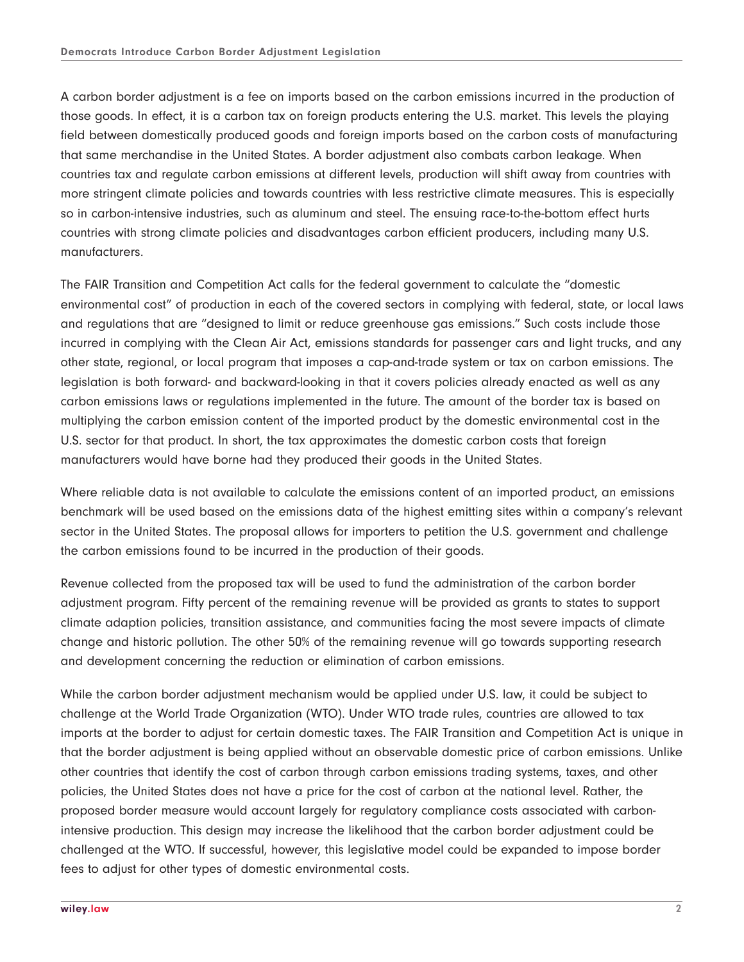A carbon border adjustment is a fee on imports based on the carbon emissions incurred in the production of those goods. In effect, it is a carbon tax on foreign products entering the U.S. market. This levels the playing field between domestically produced goods and foreign imports based on the carbon costs of manufacturing that same merchandise in the United States. A border adjustment also combats carbon leakage. When countries tax and regulate carbon emissions at different levels, production will shift away from countries with more stringent climate policies and towards countries with less restrictive climate measures. This is especially so in carbon-intensive industries, such as aluminum and steel. The ensuing race-to-the-bottom effect hurts countries with strong climate policies and disadvantages carbon efficient producers, including many U.S. manufacturers.

The FAIR Transition and Competition Act calls for the federal government to calculate the "domestic environmental cost" of production in each of the covered sectors in complying with federal, state, or local laws and regulations that are "designed to limit or reduce greenhouse gas emissions." Such costs include those incurred in complying with the Clean Air Act, emissions standards for passenger cars and light trucks, and any other state, regional, or local program that imposes a cap-and-trade system or tax on carbon emissions. The legislation is both forward- and backward-looking in that it covers policies already enacted as well as any carbon emissions laws or regulations implemented in the future. The amount of the border tax is based on multiplying the carbon emission content of the imported product by the domestic environmental cost in the U.S. sector for that product. In short, the tax approximates the domestic carbon costs that foreign manufacturers would have borne had they produced their goods in the United States.

Where reliable data is not available to calculate the emissions content of an imported product, an emissions benchmark will be used based on the emissions data of the highest emitting sites within a company's relevant sector in the United States. The proposal allows for importers to petition the U.S. government and challenge the carbon emissions found to be incurred in the production of their goods.

Revenue collected from the proposed tax will be used to fund the administration of the carbon border adjustment program. Fifty percent of the remaining revenue will be provided as grants to states to support climate adaption policies, transition assistance, and communities facing the most severe impacts of climate change and historic pollution. The other 50% of the remaining revenue will go towards supporting research and development concerning the reduction or elimination of carbon emissions.

While the carbon border adjustment mechanism would be applied under U.S. law, it could be subject to challenge at the World Trade Organization (WTO). Under WTO trade rules, countries are allowed to tax imports at the border to adjust for certain domestic taxes. The FAIR Transition and Competition Act is unique in that the border adjustment is being applied without an observable domestic price of carbon emissions. Unlike other countries that identify the cost of carbon through carbon emissions trading systems, taxes, and other policies, the United States does not have a price for the cost of carbon at the national level. Rather, the proposed border measure would account largely for regulatory compliance costs associated with carbonintensive production. This design may increase the likelihood that the carbon border adjustment could be challenged at the WTO. If successful, however, this legislative model could be expanded to impose border fees to adjust for other types of domestic environmental costs.